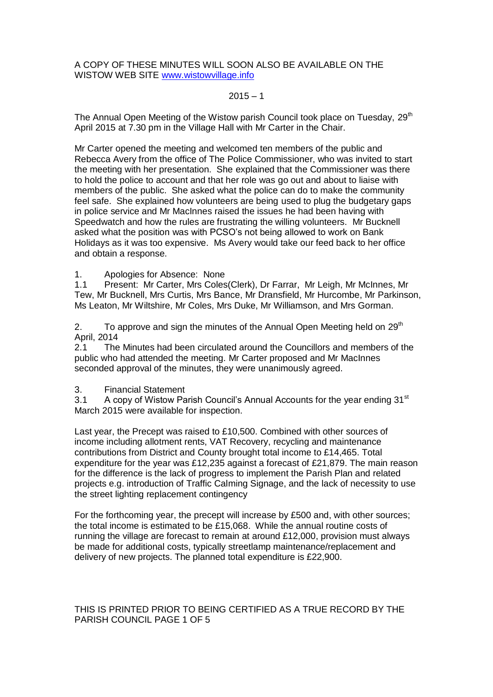A COPY OF THESE MINUTES WILL SOON ALSO BE AVAILABLE ON THE WISTOW WEB SITE [www.wistowvillage.info](http://www.wistowvillage.info/)

### $2015 - 1$

The Annual Open Meeting of the Wistow parish Council took place on Tuesday, 29<sup>th</sup> April 2015 at 7.30 pm in the Village Hall with Mr Carter in the Chair.

Mr Carter opened the meeting and welcomed ten members of the public and Rebecca Avery from the office of The Police Commissioner, who was invited to start the meeting with her presentation. She explained that the Commissioner was there to hold the police to account and that her role was go out and about to liaise with members of the public. She asked what the police can do to make the community feel safe. She explained how volunteers are being used to plug the budgetary gaps in police service and Mr MacInnes raised the issues he had been having with Speedwatch and how the rules are frustrating the willing volunteers. Mr Bucknell asked what the position was with PCSO's not being allowed to work on Bank Holidays as it was too expensive. Ms Avery would take our feed back to her office and obtain a response.

1. Apologies for Absence: None

1.1 Present: Mr Carter, Mrs Coles(Clerk), Dr Farrar, Mr Leigh, Mr McInnes, Mr Tew, Mr Bucknell, Mrs Curtis, Mrs Bance, Mr Dransfield, Mr Hurcombe, Mr Parkinson, Ms Leaton, Mr Wiltshire, Mr Coles, Mrs Duke, Mr Williamson, and Mrs Gorman.

2. To approve and sign the minutes of the Annual Open Meeting held on  $29<sup>th</sup>$ April, 2014

2.1 The Minutes had been circulated around the Councillors and members of the public who had attended the meeting. Mr Carter proposed and Mr MacInnes seconded approval of the minutes, they were unanimously agreed.

#### 3. Financial Statement

3.1 A copy of Wistow Parish Council's Annual Accounts for the year ending 31<sup>st</sup> March 2015 were available for inspection.

Last year, the Precept was raised to £10,500. Combined with other sources of income including allotment rents, VAT Recovery, recycling and maintenance contributions from District and County brought total income to £14,465. Total expenditure for the year was £12,235 against a forecast of £21,879. The main reason for the difference is the lack of progress to implement the Parish Plan and related projects e.g. introduction of Traffic Calming Signage, and the lack of necessity to use the street lighting replacement contingency

For the forthcoming year, the precept will increase by £500 and, with other sources; the total income is estimated to be £15,068. While the annual routine costs of running the village are forecast to remain at around £12,000, provision must always be made for additional costs, typically streetlamp maintenance/replacement and delivery of new projects. The planned total expenditure is £22,900.

THIS IS PRINTED PRIOR TO BEING CERTIFIED AS A TRUE RECORD BY THE PARISH COUNCIL PAGE 1 OF 5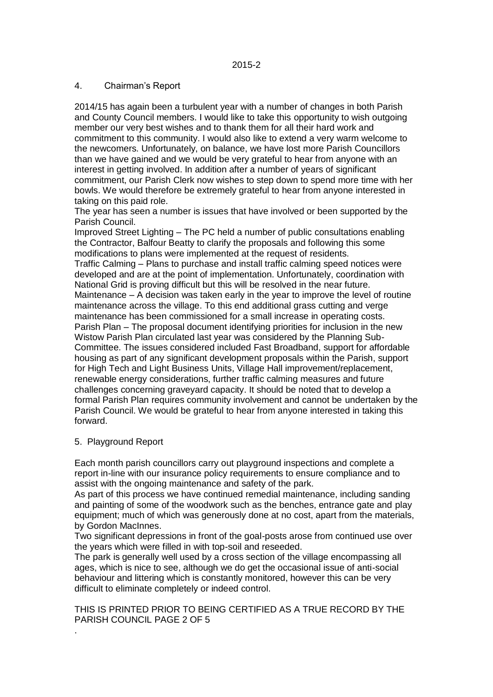### 4. Chairman's Report

2014/15 has again been a turbulent year with a number of changes in both Parish and County Council members. I would like to take this opportunity to wish outgoing member our very best wishes and to thank them for all their hard work and commitment to this community. I would also like to extend a very warm welcome to the newcomers. Unfortunately, on balance, we have lost more Parish Councillors than we have gained and we would be very grateful to hear from anyone with an interest in getting involved. In addition after a number of years of significant commitment, our Parish Clerk now wishes to step down to spend more time with her bowls. We would therefore be extremely grateful to hear from anyone interested in taking on this paid role.

The year has seen a number is issues that have involved or been supported by the Parish Council.

Improved Street Lighting – The PC held a number of public consultations enabling the Contractor, Balfour Beatty to clarify the proposals and following this some modifications to plans were implemented at the request of residents.

Traffic Calming – Plans to purchase and install traffic calming speed notices were developed and are at the point of implementation. Unfortunately, coordination with National Grid is proving difficult but this will be resolved in the near future. Maintenance – A decision was taken early in the year to improve the level of routine maintenance across the village. To this end additional grass cutting and verge maintenance has been commissioned for a small increase in operating costs. Parish Plan – The proposal document identifying priorities for inclusion in the new Wistow Parish Plan circulated last year was considered by the Planning Sub-Committee. The issues considered included Fast Broadband, support for affordable housing as part of any significant development proposals within the Parish, support for High Tech and Light Business Units, Village Hall improvement/replacement, renewable energy considerations, further traffic calming measures and future challenges concerning graveyard capacity. It should be noted that to develop a formal Parish Plan requires community involvement and cannot be undertaken by the Parish Council. We would be grateful to hear from anyone interested in taking this forward.

#### 5. Playground Report

.

Each month parish councillors carry out playground inspections and complete a report in-line with our insurance policy requirements to ensure compliance and to assist with the ongoing maintenance and safety of the park.

As part of this process we have continued remedial maintenance, including sanding and painting of some of the woodwork such as the benches, entrance gate and play equipment; much of which was generously done at no cost, apart from the materials, by Gordon MacInnes.

Two significant depressions in front of the goal-posts arose from continued use over the years which were filled in with top-soil and reseeded.

The park is generally well used by a cross section of the village encompassing all ages, which is nice to see, although we do get the occasional issue of anti-social behaviour and littering which is constantly monitored, however this can be very difficult to eliminate completely or indeed control.

THIS IS PRINTED PRIOR TO BEING CERTIFIED AS A TRUE RECORD BY THE PARISH COUNCIL PAGE 2 OF 5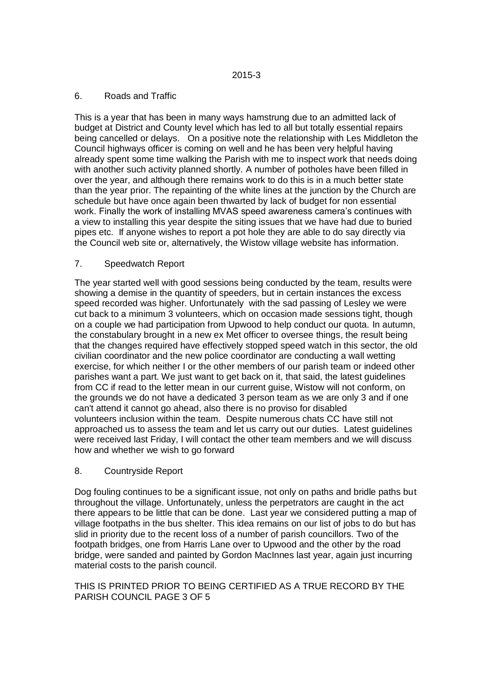### 6. Roads and Traffic

This is a year that has been in many ways hamstrung due to an admitted lack of budget at District and County level which has led to all but totally essential repairs being cancelled or delays. On a positive note the relationship with Les Middleton the Council highways officer is coming on well and he has been very helpful having already spent some time walking the Parish with me to inspect work that needs doing with another such activity planned shortly. A number of potholes have been filled in over the year, and although there remains work to do this is in a much better state than the year prior. The repainting of the white lines at the junction by the Church are schedule but have once again been thwarted by lack of budget for non essential work. Finally the work of installing MVAS speed awareness camera's continues with a view to installing this year despite the siting issues that we have had due to buried pipes etc. If anyone wishes to report a pot hole they are able to do say directly via the Council web site or, alternatively, the Wistow village website has information.

# 7. Speedwatch Report

The year started well with good sessions being conducted by the team, results were showing a demise in the quantity of speeders, but in certain instances the excess speed recorded was higher. Unfortunately with the sad passing of Lesley we were cut back to a minimum 3 volunteers, which on occasion made sessions tight, though on a couple we had participation from Upwood to help conduct our quota. In autumn, the constabulary brought in a new ex Met officer to oversee things, the result being that the changes required have effectively stopped speed watch in this sector, the old civilian coordinator and the new police coordinator are conducting a wall wetting exercise, for which neither I or the other members of our parish team or indeed other parishes want a part. We just want to get back on it, that said, the latest guidelines from CC if read to the letter mean in our current guise, Wistow will not conform, on the grounds we do not have a dedicated 3 person team as we are only 3 and if one can't attend it cannot go ahead, also there is no proviso for disabled volunteers inclusion within the team. Despite numerous chats CC have still not approached us to assess the team and let us carry out our duties. Latest guidelines were received last Friday, I will contact the other team members and we will discuss how and whether we wish to go forward

# 8. Countryside Report

Dog fouling continues to be a significant issue, not only on paths and bridle paths but throughout the village. Unfortunately, unless the perpetrators are caught in the act there appears to be little that can be done. Last year we considered putting a map of village footpaths in the bus shelter. This idea remains on our list of jobs to do but has slid in priority due to the recent loss of a number of parish councillors. Two of the footpath bridges, one from Harris Lane over to Upwood and the other by the road bridge, were sanded and painted by Gordon MacInnes last year, again just incurring material costs to the parish council.

# THIS IS PRINTED PRIOR TO BEING CERTIFIED AS A TRUE RECORD BY THE PARISH COUNCIL PAGE 3 OF 5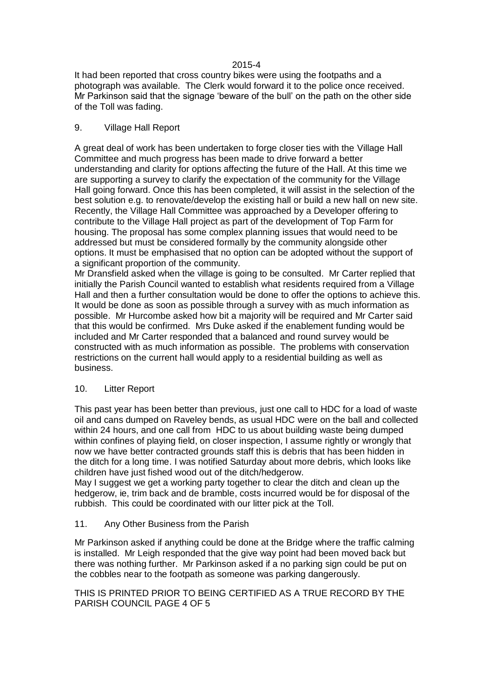### 2015-4

It had been reported that cross country bikes were using the footpaths and a photograph was available. The Clerk would forward it to the police once received. Mr Parkinson said that the signage 'beware of the bull' on the path on the other side of the Toll was fading.

### 9. Village Hall Report

A great deal of work has been undertaken to forge closer ties with the Village Hall Committee and much progress has been made to drive forward a better understanding and clarity for options affecting the future of the Hall. At this time we are supporting a survey to clarify the expectation of the community for the Village Hall going forward. Once this has been completed, it will assist in the selection of the best solution e.g. to renovate/develop the existing hall or build a new hall on new site. Recently, the Village Hall Committee was approached by a Developer offering to contribute to the Village Hall project as part of the development of Top Farm for housing. The proposal has some complex planning issues that would need to be addressed but must be considered formally by the community alongside other options. It must be emphasised that no option can be adopted without the support of a significant proportion of the community.

Mr Dransfield asked when the village is going to be consulted. Mr Carter replied that initially the Parish Council wanted to establish what residents required from a Village Hall and then a further consultation would be done to offer the options to achieve this. It would be done as soon as possible through a survey with as much information as possible. Mr Hurcombe asked how bit a majority will be required and Mr Carter said that this would be confirmed. Mrs Duke asked if the enablement funding would be included and Mr Carter responded that a balanced and round survey would be constructed with as much information as possible. The problems with conservation restrictions on the current hall would apply to a residential building as well as business.

# 10. Litter Report

This past year has been better than previous, just one call to HDC for a load of waste oil and cans dumped on Raveley bends, as usual HDC were on the ball and collected within 24 hours, and one call from HDC to us about building waste being dumped within confines of playing field, on closer inspection, I assume rightly or wrongly that now we have better contracted grounds staff this is debris that has been hidden in the ditch for a long time. I was notified Saturday about more debris, which looks like children have just fished wood out of the ditch/hedgerow.

May I suggest we get a working party together to clear the ditch and clean up the hedgerow, ie, trim back and de bramble, costs incurred would be for disposal of the rubbish. This could be coordinated with our litter pick at the Toll.

# 11. Any Other Business from the Parish

Mr Parkinson asked if anything could be done at the Bridge where the traffic calming is installed. Mr Leigh responded that the give way point had been moved back but there was nothing further. Mr Parkinson asked if a no parking sign could be put on the cobbles near to the footpath as someone was parking dangerously.

### THIS IS PRINTED PRIOR TO BEING CERTIFIED AS A TRUE RECORD BY THE PARISH COUNCIL PAGE 4 OF 5